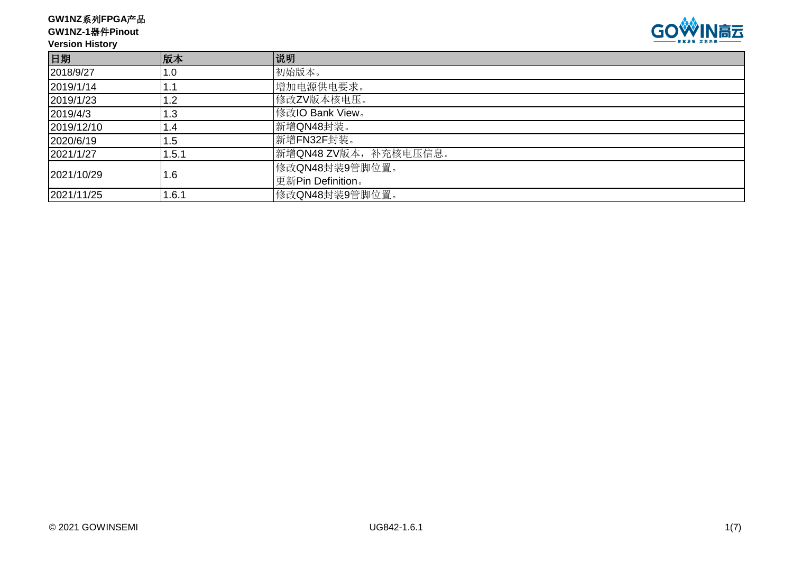**GW1NZ**系列**FPGA**产品

**GW1NZ-1**器件**Pinout**

## **Version History**



| 日期         | 版本    | 说明                    |
|------------|-------|-----------------------|
| 2018/9/27  | 1.0   | 初始版本。                 |
| 2019/1/14  | . .   | 增加电源供电要求。             |
| 2019/1/23  | 1.2   | 修改ZV版本核电压。            |
| 2019/4/3   | 1.3   | 修改IO Bank View。       |
| 2019/12/10 | l .4  | 新增QN48封装。             |
| 2020/6/19  | 5. ا  | 新增FN32F封装。            |
| 2021/1/27  | 1.5.1 | 新增QN48 ZV版本, 补充核电压信息。 |
| 2021/10/29 |       | 修改QN48封装9管脚位置。        |
|            | 1.6   | 更新Pin Definition。     |
| 2021/11/25 | 1.6.1 | 修改QN48封装9管脚位置。        |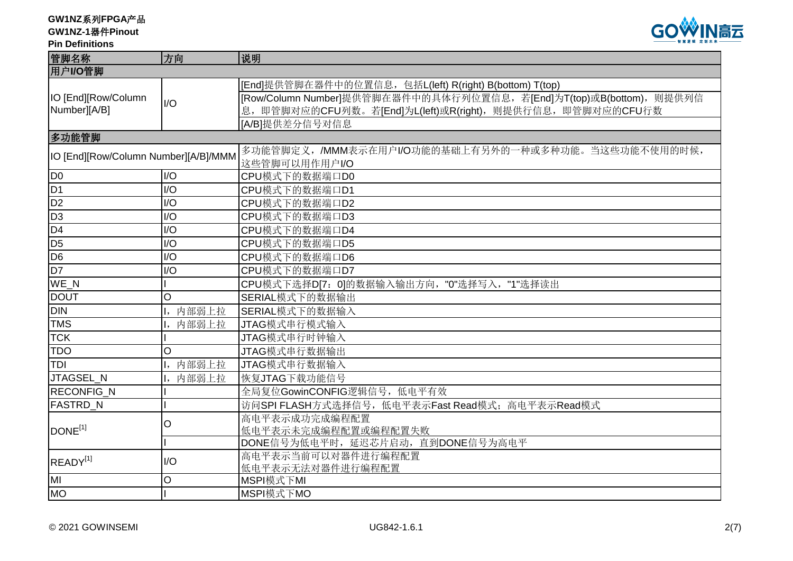**GW1NZ**系列**FPGA**产品

**GW1NZ-1**器件**Pinout**

### **Pin Definitions**



| 管脚名称                                 | 方向                          | 说明                                                                   |  |  |  |
|--------------------------------------|-----------------------------|----------------------------------------------------------------------|--|--|--|
| 用户I/O管脚                              |                             |                                                                      |  |  |  |
|                                      |                             | [End]提供管脚在器件中的位置信息, 包括L(left) R(right) B(bottom) T(top)              |  |  |  |
| IO [End][Row/Column                  | I/O                         | [Row/Column Number]提供管脚在器件中的具体行列位置信息, 若[End]为T(top)或B(bottom), 则提供列信 |  |  |  |
| Number][A/B]                         |                             | 息, 即管脚对应的CFU列数。若[End]为L(left)或R(right), 则提供行信息, 即管脚对应的CFU行数          |  |  |  |
|                                      |                             | [A/B]提供差分信号对信息                                                       |  |  |  |
| 多功能管脚                                |                             |                                                                      |  |  |  |
| IO [End][Row/Column Number][A/B]/MMM |                             | 多功能管脚定义, /MMM表示在用户I/O功能的基础上有另外的一种或多种功能。当这些功能不使用的时候,                  |  |  |  |
|                                      |                             | 这些管脚可以用作用户I/O                                                        |  |  |  |
| D <sub>0</sub>                       | I/O                         | CPU模式下的数据端口D0                                                        |  |  |  |
| D <sub>1</sub>                       | 1/O                         | CPU模式下的数据端口D1                                                        |  |  |  |
| D <sub>2</sub>                       | I/O                         | CPU模式下的数据端口D2                                                        |  |  |  |
| D <sub>3</sub>                       | $\overline{1/O}$            | CPU模式下的数据端口D3                                                        |  |  |  |
| D <sub>4</sub>                       | $\overline{1/O}$            | CPU模式下的数据端口D4                                                        |  |  |  |
| D <sub>5</sub>                       | $\overline{1}/\overline{O}$ | CPU模式下的数据端口D5                                                        |  |  |  |
| D <sub>6</sub>                       | $\overline{1/O}$            | CPU模式下的数据端口D6                                                        |  |  |  |
| D <sub>7</sub><br>I/O                |                             | CPU模式下的数据端口D7                                                        |  |  |  |
| $WE_N$                               |                             | CPU模式下选择D[7: 0]的数据输入输出方向, "0"选择写入, "1"选择读出                           |  |  |  |
| $\circ$<br><b>DOUT</b>               |                             | SERIAL模式下的数据输出                                                       |  |  |  |
| <b>DIN</b>                           | 内部弱上拉                       | SERIAL模式下的数据输入                                                       |  |  |  |
| <b>TMS</b>                           | 内部弱上拉                       | JTAG模式串行模式输入                                                         |  |  |  |
| <b>TCK</b>                           |                             | JTAG模式串行时钟输入                                                         |  |  |  |
| <b>TDO</b>                           | $\circ$                     | JTAG模式串行数据输出                                                         |  |  |  |
| TDI                                  | 内部弱上拉                       | JTAG模式串行数据输入                                                         |  |  |  |
| JTAGSEL N                            | 内部弱上拉                       | 恢复JTAG下载功能信号                                                         |  |  |  |
| RECONFIG_N                           |                             | 全局复位GowinCONFIG逻辑信号, 低电平有效                                           |  |  |  |
| <b>FASTRD_N</b>                      |                             | 访问SPI FLASH方式选择信号, 低电平表示Fast Read模式; 高电平表示Read模式                     |  |  |  |
|                                      | O                           | 高电平表示成功完成编程配置                                                        |  |  |  |
| DONE <sup>[1]</sup>                  |                             | 低电平表示未完成编程配置或编程配置失败                                                  |  |  |  |
|                                      |                             | DONE信号为低电平时, 延迟芯片启动, 直到DONE信号为高电平                                    |  |  |  |
| READY <sup>[1]</sup>                 | I/O                         | 高电平表示当前可以对器件进行编程配置                                                   |  |  |  |
|                                      |                             | 低电平表示无法对器件进行编程配置                                                     |  |  |  |
| lмı                                  | $\circ$                     | MSPI模式下MI                                                            |  |  |  |
| <b>MO</b>                            |                             | MSPI模式下MO                                                            |  |  |  |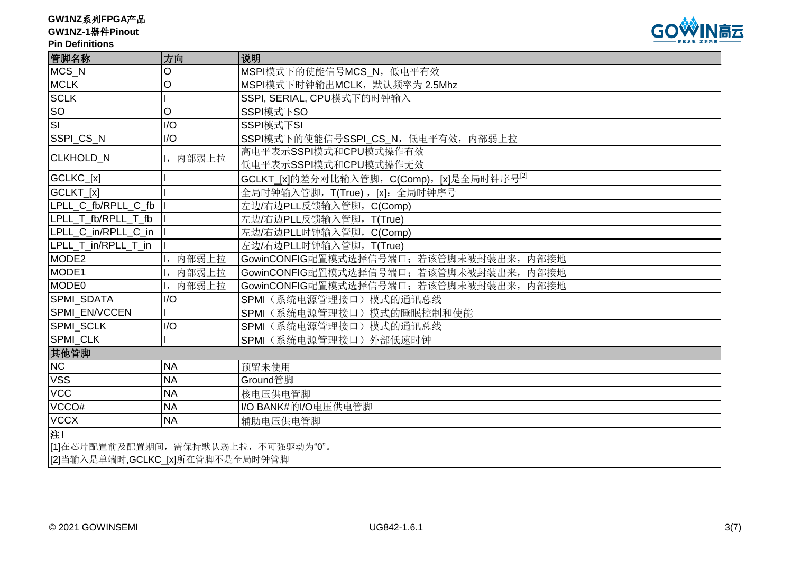**GW1NZ**系列**FPGA**产品

# **GW1NZ-1**器件**Pinout**

### **Pin Definitions**



| 管脚名称                     | 方向                                   | 说明                                                     |  |  |  |  |  |
|--------------------------|--------------------------------------|--------------------------------------------------------|--|--|--|--|--|
| MCS_N                    | O                                    | MSPI模式下的使能信号MCS_N, 低电平有效                               |  |  |  |  |  |
| <b>MCLK</b>              | O                                    | MSPI模式下时钟输出MCLK, 默认频率为 2.5Mhz                          |  |  |  |  |  |
| <b>SCLK</b>              |                                      | SSPI, SERIAL, CPU模式下的时钟输入                              |  |  |  |  |  |
| <b>SO</b>                | $\circ$                              | SSPI模式下SO                                              |  |  |  |  |  |
| $\overline{\mathsf{SI}}$ | I/O                                  | SSPI模式下SI                                              |  |  |  |  |  |
| SSPI_CS_N                | I/O                                  | SSPI模式下的使能信号SSPI_CS_N, 低电平有效, 内部弱上拉                    |  |  |  |  |  |
| CLKHOLD_N                | I, 内部弱上拉                             | 高电平表示SSPI模式和CPU模式操作有效                                  |  |  |  |  |  |
|                          |                                      | 低电平表示SSPI模式和CPU模式操作无效                                  |  |  |  |  |  |
| GCLKC_[x]                |                                      | GCLKT_[x]的差分对比输入管脚, C(Comp), [x]是全局时钟序号 <sup>[2]</sup> |  |  |  |  |  |
| GCLKT_[x]                |                                      | 全局时钟输入管脚, T(True), [x]: 全局时钟序号                         |  |  |  |  |  |
| LPLL C fb/RPLL C fb      |                                      | 左边/右边PLL反馈输入管脚, C(Comp)                                |  |  |  |  |  |
| LPLL T fb/RPLL T fb      |                                      | 左边/右边PLL反馈输入管脚, T(True)                                |  |  |  |  |  |
| LPLL C in/RPLL C in      |                                      | 左边/右边PLL时钟输入管脚, C(Comp)                                |  |  |  |  |  |
| LPLL T in/RPLL T in      |                                      | 左边/右边PLL时钟输入管脚, T(True)                                |  |  |  |  |  |
| MODE <sub>2</sub>        | I, 内部弱上拉                             | GowinCONFIG配置模式选择信号端口; 若该管脚未被封装出来, 内部接地                |  |  |  |  |  |
| MODE1                    | 内部弱上拉                                | GowinCONFIG配置模式选择信号端口; 若该管脚未被封装出来, 内部接地                |  |  |  |  |  |
| <b>MODE0</b>             | I, 内部弱上拉                             | GowinCONFIG配置模式选择信号端口; 若该管脚未被封装出来,<br>内部接地             |  |  |  |  |  |
| SPMI_SDATA               | I/O                                  | SPMI (系统电源管理接口)模式的通讯总线                                 |  |  |  |  |  |
| SPMI EN/VCCEN            |                                      | SPMI (系统电源管理接口)模式的睡眠控制和使能                              |  |  |  |  |  |
| <b>SPMI SCLK</b>         | I/O                                  | SPMI (系统电源管理接口)模式的通讯总线                                 |  |  |  |  |  |
| <b>SPMI CLK</b>          |                                      | SPMI (系统电源管理接口) 外部低速时钟                                 |  |  |  |  |  |
| 其他管脚                     |                                      |                                                        |  |  |  |  |  |
| <b>NC</b>                | <b>NA</b>                            | 预留未使用                                                  |  |  |  |  |  |
| <b>VSS</b>               | <b>NA</b>                            | Ground管脚                                               |  |  |  |  |  |
| <b>VCC</b>               | <b>NA</b>                            | 核电压供电管脚                                                |  |  |  |  |  |
| VCCO#                    | <b>NA</b>                            | I/O BANK#的I/O电压供电管脚                                    |  |  |  |  |  |
| <b>VCCX</b>              | <b>NA</b>                            | 辅助电压供电管脚                                               |  |  |  |  |  |
| 注!                       |                                      |                                                        |  |  |  |  |  |
|                          | [1]在芯片配置前及配置期间, 需保持默认弱上拉, 不可强驱动为"0"。 |                                                        |  |  |  |  |  |
|                          | [2]当输入是单端时,GCLKC_[x]所在管脚不是全局时钟管脚     |                                                        |  |  |  |  |  |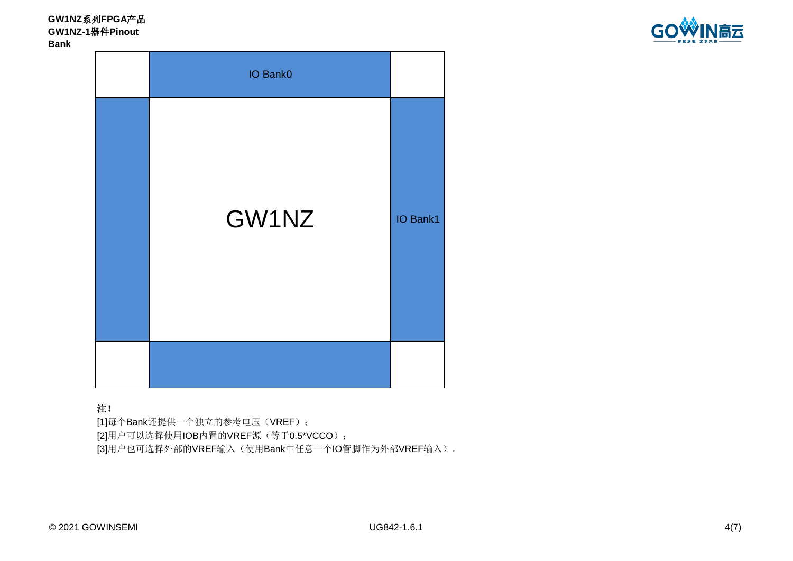**GW1NZ**系列**FPGA**产品 **GW1NZ-1**器件**Pinout Bank**





# 注!

[1]每个Bank还提供一个独立的参考电压(VREF); [2]用户可以选择使用IOB内置的VREF源(等于0.5\*VCCO); [3]用户也可选择外部的VREF输入(使用Bank中任意一个IO管脚作为外部VREF输入)。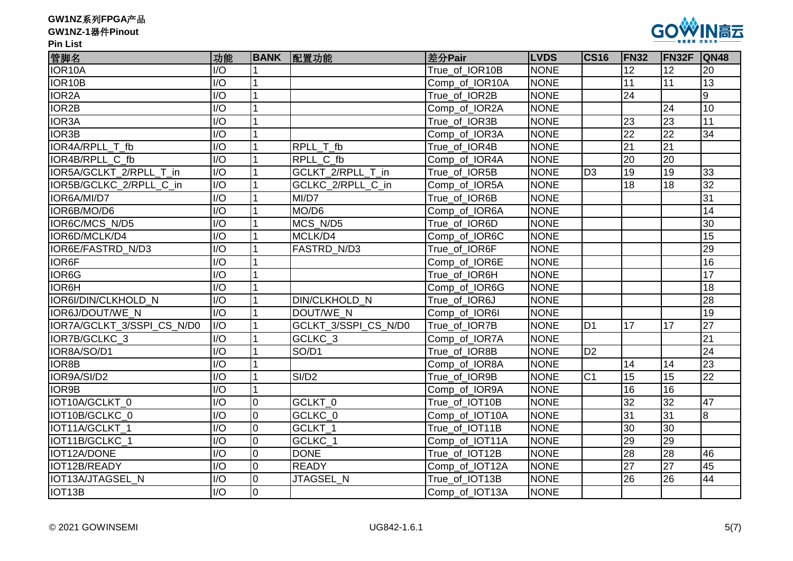| GW1NZ系列FPGA产品 |  |
|---------------|--|
|---------------|--|

#### **GW1NZ-1**器件**Pinout**

**Pin List**



| 管脚名                        | 功能               |                 | BANK 配置功能            | 差分Pair         | <b>LVDS</b> | <b>CS16</b>    | <b>FN32</b>     | <b>IFN32F</b>   | QN48            |
|----------------------------|------------------|-----------------|----------------------|----------------|-------------|----------------|-----------------|-----------------|-----------------|
| IOR <sub>10</sub> A        | 1/O              |                 |                      | True_of_IOR10B | <b>NONE</b> |                | 12              | 12              | 20              |
| IOR <sub>10</sub> B        | $\overline{1/O}$ | $\mathbf{1}$    |                      | Comp_of_IOR10A | <b>NONE</b> |                | 11              | 11              | $\overline{13}$ |
| IOR <sub>2</sub> A         | $\overline{1/O}$ | $\overline{1}$  |                      | True_of_IOR2B  | <b>NONE</b> |                | 24              |                 | 9               |
| IOR <sub>2</sub> B         | I/O              |                 |                      | Comp_of_IOR2A  | <b>NONE</b> |                |                 | 24              | $\overline{10}$ |
| IOR <sub>3</sub> A         | $\overline{1/O}$ |                 |                      | True_of_IOR3B  | <b>NONE</b> |                | 23              | $\overline{23}$ | 11              |
| IOR3B                      | $\overline{1/O}$ |                 |                      | Comp_of_IOR3A  | <b>NONE</b> |                | $\overline{22}$ | $\overline{22}$ | 34              |
| IOR4A/RPLL T fb            | $\overline{1/O}$ | 1               | RPLL T fb            | True_of_IOR4B  | <b>NONE</b> |                | $\overline{21}$ | $\overline{21}$ |                 |
| IOR4B/RPLL C fb            | $\overline{1/O}$ |                 | RPLL C fb            | Comp_of_IOR4A  | <b>NONE</b> |                | 20              | 20              |                 |
| IOR5A/GCLKT 2/RPLL T in    | $\overline{1/O}$ | 1               | GCLKT 2/RPLL T in    | True of IOR5B  | <b>NONE</b> | D <sub>3</sub> | $\overline{19}$ | 19              | 33              |
| IOR5B/GCLKC_2/RPLL_C_in    | I/O              | $\mathbf{1}$    | GCLKC_2/RPLL_C_in    | Comp_of_IOR5A  | <b>NONE</b> |                | 18              | 18              | 32              |
| IOR6A/MI/D7                | I/O              | $\mathbf{1}$    | MI/D7                | True of IOR6B  | <b>NONE</b> |                |                 |                 | 31              |
| IOR6B/MO/D6                | I/O              |                 | MO/D6                | Comp_of_IOR6A  | <b>NONE</b> |                |                 |                 | 14              |
| IOR6C/MCS N/D5             | $\overline{1/O}$ | $\mathbf{1}$    | MCS N/D5             | True of IOR6D  | <b>NONE</b> |                |                 |                 | 30              |
| IOR6D/MCLK/D4              | $\overline{1/O}$ |                 | MCLK/D4              | Comp_of_IOR6C  | <b>NONE</b> |                |                 |                 | $\overline{15}$ |
| IOR6E/FASTRD_N/D3          | $\overline{1/O}$ | 1               | FASTRD N/D3          | True of IOR6F  | <b>NONE</b> |                |                 |                 | $\overline{29}$ |
| <b>IOR6F</b>               | 1/O              |                 |                      | Comp_of_IOR6E  | <b>NONE</b> |                |                 |                 | 16              |
| IOR <sub>6</sub> G         | $\overline{1/O}$ |                 |                      | True of IOR6H  | <b>NONE</b> |                |                 |                 | 17              |
| <b>IOR6H</b>               | I/O              | $\overline{1}$  |                      | Comp_of_IOR6G  | <b>NONE</b> |                |                 |                 | 18              |
| IOR6I/DIN/CLKHOLD N        | I/O              |                 | DIN/CLKHOLD_N        | True of IOR6J  | <b>NONE</b> |                |                 |                 | 28              |
| IOR6J/DOUT/WE N            | $\overline{1/O}$ |                 | DOUT/WE N            | Comp_of_IOR6I  | <b>NONE</b> |                |                 |                 | 19              |
| IOR7A/GCLKT_3/SSPI_CS_N/D0 | $\overline{1/O}$ |                 | GCLKT_3/SSPI_CS_N/D0 | True_of_IOR7B  | <b>NONE</b> | D <sub>1</sub> | 17              | 17              | 27              |
| IOR7B/GCLKC_3              | I/O              |                 | GCLKC_3              | Comp_of_IOR7A  | <b>NONE</b> |                |                 |                 | 21              |
| IOR8A/SO/D1                | I/O              |                 | SO/D1                | True of IOR8B  | <b>NONE</b> | D <sub>2</sub> |                 |                 | 24              |
| IOR8B                      | $\overline{1/O}$ |                 |                      | Comp_of_IOR8A  | <b>NONE</b> |                | 14              | 14              | $\overline{23}$ |
| IOR9A/SI/D2                | I/O              | 1               | SI/D2                | True_of_IOR9B  | <b>NONE</b> | C <sub>1</sub> | $\overline{15}$ | 15              | 22              |
| IOR9B                      | $\overline{1/O}$ | $\mathbf{1}$    |                      | Comp_of_IOR9A  | <b>NONE</b> |                | $\overline{16}$ | 16              |                 |
| IOT10A/GCLKT 0             | I/O              | $\overline{10}$ | GCLKT 0              | True_of_IOT10B | <b>NONE</b> |                | 32              | 32              | 47              |
| IOT10B/GCLKC 0             | $\overline{1/O}$ | $\overline{0}$  | GCLKC_0              | Comp_of_IOT10A | <b>NONE</b> |                | 31              | 31              | 8               |
| IOT11A/GCLKT 1             | $\overline{1/O}$ | $\overline{0}$  | GCLKT_1              | True of IOT11B | <b>NONE</b> |                | 30              | 30              |                 |
| IOT11B/GCLKC 1             | $\overline{1/O}$ | $\overline{0}$  | GCLKC 1              | Comp_of_IOT11A | <b>NONE</b> |                | 29              | 29              |                 |
| IOT12A/DONE                | I/O              | Iо              | <b>DONE</b>          | True_of_IOT12B | <b>NONE</b> |                | 28              | 28              | 46              |
| IOT12B/READY               | I/O              | Iо              | <b>READY</b>         | Comp_of_IOT12A | <b>NONE</b> |                | 27              | $\overline{27}$ | 45              |
| IOT13A/JTAGSEL N           | I/O              | $\overline{10}$ | JTAGSEL N            | True_of_IOT13B | <b>NONE</b> |                | 26              | 26              | 44              |
| IOT <sub>13</sub> B        | $\overline{1/O}$ | $\overline{0}$  |                      | Comp of IOT13A | <b>NONE</b> |                |                 |                 |                 |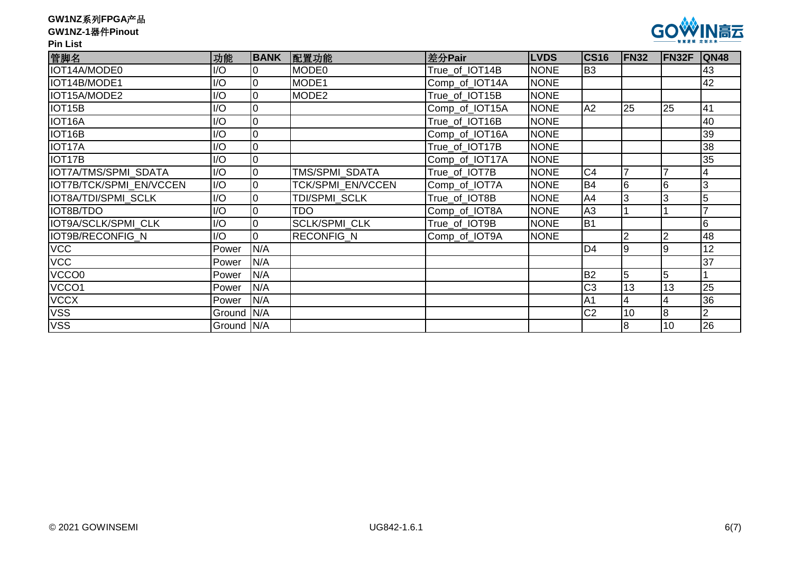| GW1NZ系列FPGA产品 |  |
|---------------|--|
|---------------|--|

### **GW1NZ-1**器件**Pinout**

## **Pin List**



| 管脚名                     | 功能         | <b>BANK</b> | 配置功能              | 差分Pair         | <b>LVDS</b> | <b>CS16</b>    | <b>FN32</b>    | FN32F | <b>QN48</b> |
|-------------------------|------------|-------------|-------------------|----------------|-------------|----------------|----------------|-------|-------------|
| IOT14A/MODE0            | I/O        |             | MODE0             | True of IOT14B | <b>NONE</b> | B <sub>3</sub> |                |       | 43          |
| IOT14B/MODE1            | I/O        | Iо          | MODE1             | Comp_of_IOT14A | <b>NONE</b> |                |                |       | 42          |
| IOT15A/MODE2            | I/O        | Iо          | MODE <sub>2</sub> | True_of_IOT15B | <b>NONE</b> |                |                |       |             |
| IOT <sub>15</sub> B     | I/O        |             |                   | Comp_of_IOT15A | <b>NONE</b> | A2             | 25             | 25    | 41          |
| IOT16A                  | I/O        | l0          |                   | True_of_IOT16B | <b>NONE</b> |                |                |       | 40          |
| IOT16B                  | I/O        | Iо          |                   | Comp_of_IOT16A | <b>NONE</b> |                |                |       | 39          |
| IOT17A                  | I/O        | 10          |                   | True of IOT17B | <b>NONE</b> |                |                |       | 38          |
| IOT <sub>17</sub> B     | I/O        |             |                   | Comp_of_IOT17A | <b>NONE</b> |                |                |       | 35          |
| IOT7A/TMS/SPMI SDATA    | I/O        | Iо          | TMS/SPMI_SDATA    | True_of_IOT7B  | <b>NONE</b> | C <sub>4</sub> |                |       |             |
| IOT7B/TCK/SPMI EN/VCCEN | I/O        | Iо          | TCK/SPMI_EN/VCCEN | Comp_of_IOT7A  | <b>NONE</b> | <b>B4</b>      | l6             | l6    | 3           |
| IOT8A/TDI/SPMI SCLK     | I/O        | Iо          | TDI/SPMI SCLK     | True of IOT8B  | <b>NONE</b> | A4             | lЗ             |       |             |
| IOT8B/TDO               | I/O        | Iо          | <b>TDO</b>        | Comp_of_IOT8A  | <b>NONE</b> | A3             |                |       |             |
| IOT9A/SCLK/SPMI CLK     | I/O        | Iо          | SCLK/SPMI_CLK     | True_of_IOT9B  | <b>NONE</b> | B <sub>1</sub> |                |       | 6           |
| IOT9B/RECONFIG_N        | I/O        |             | RECONFIG_N        | Comp_of_IOT9A  | <b>NONE</b> |                | $\overline{2}$ |       | 48          |
| <b>VCC</b>              | Power      | IN/A        |                   |                |             | D <sub>4</sub> | l9             | Ι9    | 12          |
| <b>VCC</b>              | Power      | N/A         |                   |                |             |                |                |       | 37          |
| VCCO0                   | Power      | N/A         |                   |                |             | <b>B2</b>      | 5              | 5     |             |
| VCCO1                   | Power      | N/A         |                   |                |             | C <sub>3</sub> | 13             | 13    | 25          |
| <b>VCCX</b>             | Power      | N/A         |                   |                |             | A <sub>1</sub> | $\overline{4}$ |       | 36          |
| <b>VSS</b>              | Ground N/A |             |                   |                |             | C <sub>2</sub> | 10             | 8     |             |
| <b>VSS</b>              | Ground N/A |             |                   |                |             |                | 8              | 10    | 26          |